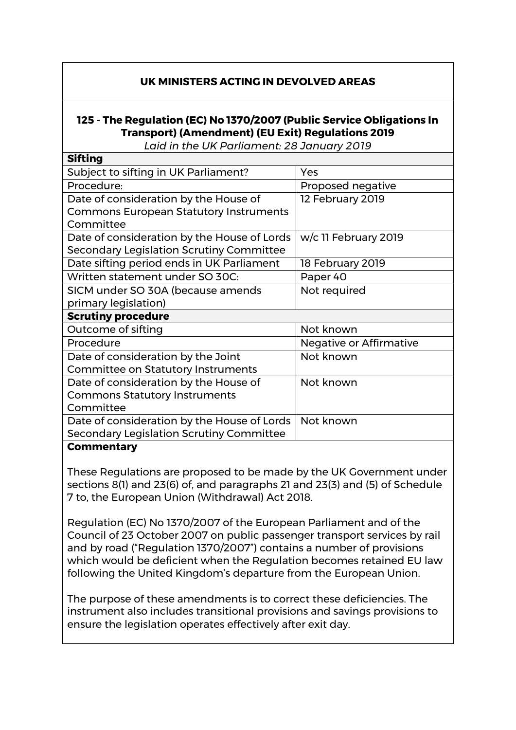## **UK MINISTERS ACTING IN DEVOLVED AREAS**

## **125 - The Regulation (EC) No 1370/2007 (Public Service Obligations In Transport) (Amendment) (EU Exit) Regulations 2019**

*Laid in the UK Parliament: 28 January 2019*

| <b>Sifting</b>                                |                                |
|-----------------------------------------------|--------------------------------|
| Subject to sifting in UK Parliament?          | Yes                            |
| Procedure:                                    | Proposed negative              |
| Date of consideration by the House of         | 12 February 2019               |
| <b>Commons European Statutory Instruments</b> |                                |
| Committee                                     |                                |
| Date of consideration by the House of Lords   | w/c 11 February 2019           |
| Secondary Legislation Scrutiny Committee      |                                |
| Date sifting period ends in UK Parliament     | 18 February 2019               |
| Written statement under SO 30C:               | Paper 40                       |
| SICM under SO 30A (because amends             | Not required                   |
| primary legislation)                          |                                |
| <b>Scrutiny procedure</b>                     |                                |
| Outcome of sifting                            | Not known                      |
| Procedure                                     | <b>Negative or Affirmative</b> |
| Date of consideration by the Joint            | Not known                      |
| <b>Committee on Statutory Instruments</b>     |                                |
| Date of consideration by the House of         | Not known                      |
| <b>Commons Statutory Instruments</b>          |                                |
| Committee                                     |                                |
| Date of consideration by the House of Lords   | Not known                      |
| Secondary Legislation Scrutiny Committee      |                                |
|                                               |                                |

## **Commentary**

These Regulations are proposed to be made by the UK Government under sections 8(1) and 23(6) of, and paragraphs 21 and 23(3) and (5) of Schedule 7 to, the European Union (Withdrawal) Act 2018.

Regulation (EC) No 1370/2007 of the European Parliament and of the Council of 23 October 2007 on public passenger transport services by rail and by road ("Regulation 1370/2007") contains a number of provisions which would be deficient when the Regulation becomes retained EU law following the United Kingdom's departure from the European Union.

The purpose of these amendments is to correct these deficiencies. The instrument also includes transitional provisions and savings provisions to ensure the legislation operates effectively after exit day.